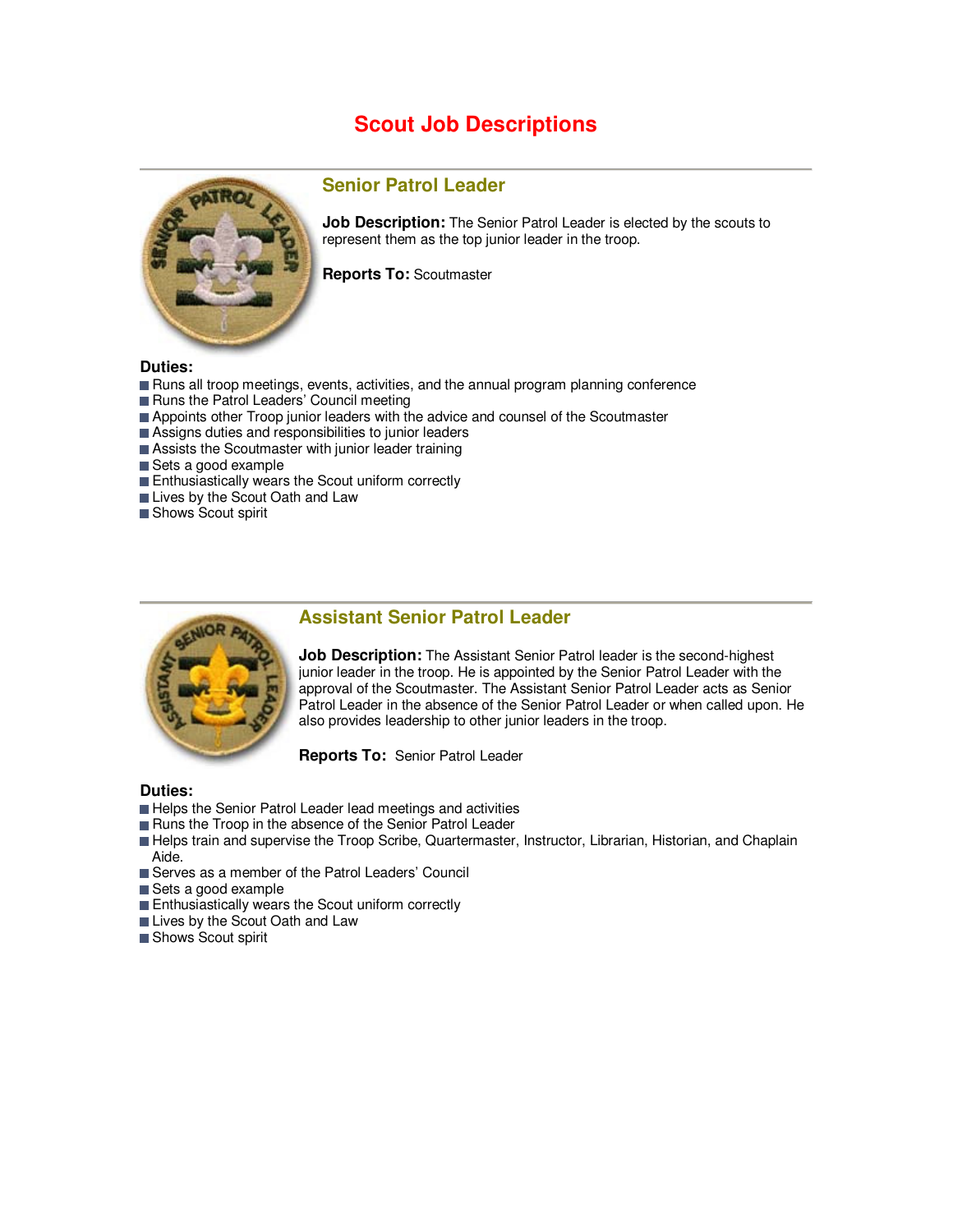# **Scout Job Descriptions**



### **Senior Patrol Leader**

**Job Description:** The Senior Patrol Leader is elected by the scouts to represent them as the top junior leader in the troop.

**Reports To:** Scoutmaster

#### **Duties:**

- Runs all troop meetings, events, activities, and the annual program planning conference
- Runs the Patrol Leaders' Council meeting
- Appoints other Troop junior leaders with the advice and counsel of the Scoutmaster
- Assigns duties and responsibilities to junior leaders
- Assists the Scoutmaster with junior leader training
- Sets a good example
- **Enthusiastically wears the Scout uniform correctly**
- **Lives by the Scout Oath and Law**
- Shows Scout spirit



### **Assistant Senior Patrol Leader**

**Job Description:** The Assistant Senior Patrol leader is the second-highest junior leader in the troop. He is appointed by the Senior Patrol Leader with the approval of the Scoutmaster. The Assistant Senior Patrol Leader acts as Senior Patrol Leader in the absence of the Senior Patrol Leader or when called upon. He also provides leadership to other junior leaders in the troop.

**Reports To:** Senior Patrol Leader

#### **Duties:**

- Helps the Senior Patrol Leader lead meetings and activities
- Runs the Troop in the absence of the Senior Patrol Leader
- Helps train and supervise the Troop Scribe, Quartermaster, Instructor, Librarian, Historian, and Chaplain Aide.
- Serves as a member of the Patrol Leaders' Council
- Sets a good example
- **Enthusiastically wears the Scout uniform correctly**
- **Lives by the Scout Oath and Law**
- Shows Scout spirit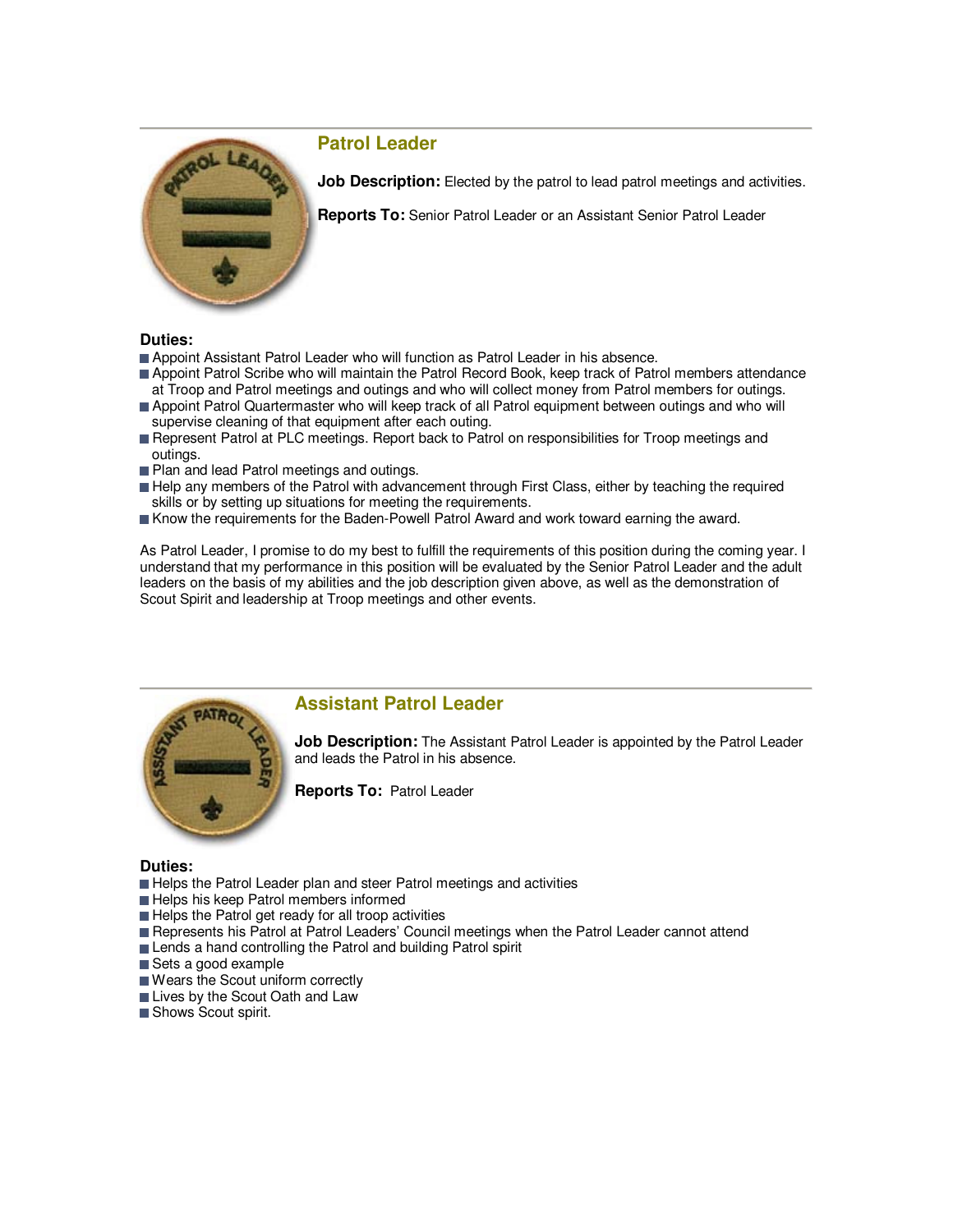

# **Patrol Leader**

**Job Description:** Elected by the patrol to lead patrol meetings and activities.

**Reports To:** Senior Patrol Leader or an Assistant Senior Patrol Leader

#### **Duties:**

- **Appoint Assistant Patrol Leader who will function as Patrol Leader in his absence.**
- **Appoint Patrol Scribe who will maintain the Patrol Record Book, keep track of Patrol members attendance** at Troop and Patrol meetings and outings and who will collect money from Patrol members for outings.
- Appoint Patrol Quartermaster who will keep track of all Patrol equipment between outings and who will supervise cleaning of that equipment after each outing.
- Represent Patrol at PLC meetings. Report back to Patrol on responsibilities for Troop meetings and outings.
- Plan and lead Patrol meetings and outings.
- Help any members of the Patrol with advancement through First Class, either by teaching the required skills or by setting up situations for meeting the requirements.
- Know the requirements for the Baden-Powell Patrol Award and work toward earning the award.

As Patrol Leader, I promise to do my best to fulfill the requirements of this position during the coming year. I understand that my performance in this position will be evaluated by the Senior Patrol Leader and the adult leaders on the basis of my abilities and the job description given above, as well as the demonstration of Scout Spirit and leadership at Troop meetings and other events.



### **Assistant Patrol Leader**

**Job Description:** The Assistant Patrol Leader is appointed by the Patrol Leader and leads the Patrol in his absence.

**Reports To:** Patrol Leader

#### **Duties:**

- Helps the Patrol Leader plan and steer Patrol meetings and activities
- Helps his keep Patrol members informed
- $\blacksquare$  Helps the Patrol get ready for all troop activities
- Represents his Patrol at Patrol Leaders' Council meetings when the Patrol Leader cannot attend
- Lends a hand controlling the Patrol and building Patrol spirit
- Sets a good example
- Wears the Scout uniform correctly
- Lives by the Scout Oath and Law
- Shows Scout spirit.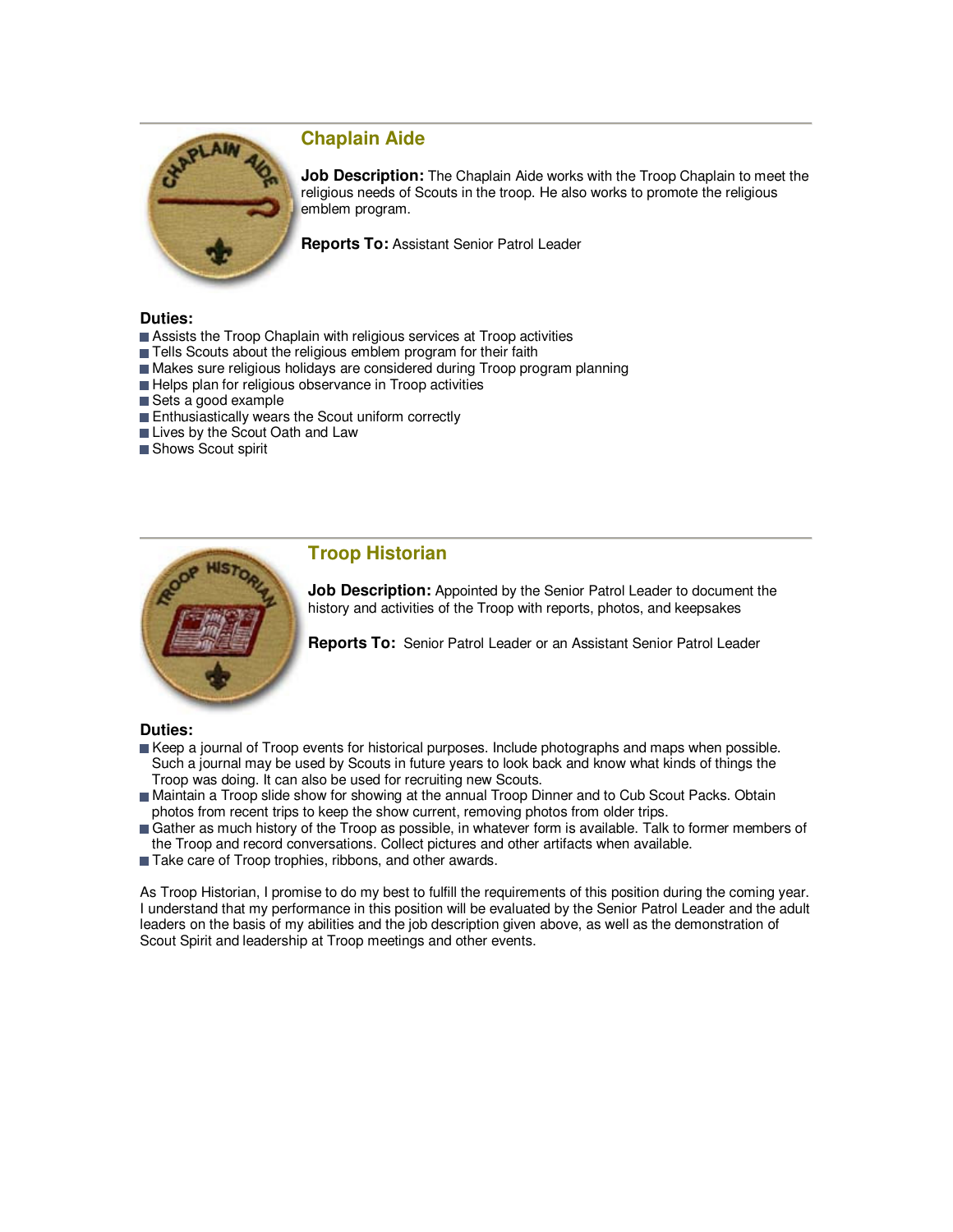

## **Chaplain Aide**

**Job Description:** The Chaplain Aide works with the Troop Chaplain to meet the religious needs of Scouts in the troop. He also works to promote the religious emblem program.

**Reports To:** Assistant Senior Patrol Leader

#### **Duties:**

- Assists the Troop Chaplain with religious services at Troop activities
- Tells Scouts about the religious emblem program for their faith
- Makes sure religious holidays are considered during Troop program planning
- Helps plan for religious observance in Troop activities
- Sets a good example
- Enthusiastically wears the Scout uniform correctly
- **Lives by the Scout Oath and Law**
- Shows Scout spirit



## **Troop Historian**

**Job Description:** Appointed by the Senior Patrol Leader to document the history and activities of the Troop with reports, photos, and keepsakes

**Reports To:** Senior Patrol Leader or an Assistant Senior Patrol Leader

### **Duties:**

- Keep a journal of Troop events for historical purposes. Include photographs and maps when possible. Such a journal may be used by Scouts in future years to look back and know what kinds of things the Troop was doing. It can also be used for recruiting new Scouts.
- Maintain a Troop slide show for showing at the annual Troop Dinner and to Cub Scout Packs. Obtain photos from recent trips to keep the show current, removing photos from older trips.
- Gather as much history of the Troop as possible, in whatever form is available. Talk to former members of the Troop and record conversations. Collect pictures and other artifacts when available.
- Take care of Troop trophies, ribbons, and other awards.

As Troop Historian, I promise to do my best to fulfill the requirements of this position during the coming year. I understand that my performance in this position will be evaluated by the Senior Patrol Leader and the adult leaders on the basis of my abilities and the job description given above, as well as the demonstration of Scout Spirit and leadership at Troop meetings and other events.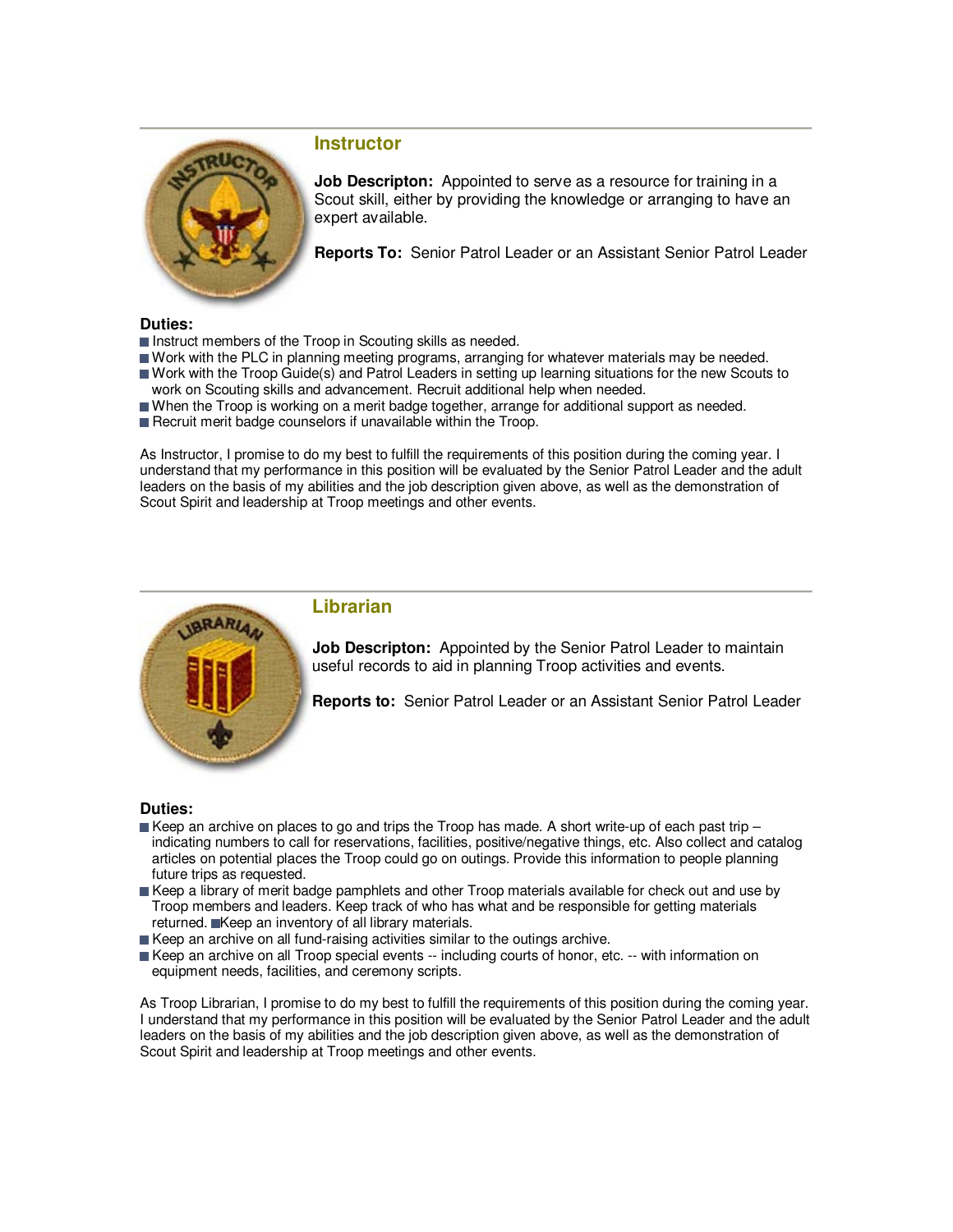

## **Instructor**

**Job Descripton:** Appointed to serve as a resource for training in a Scout skill, either by providing the knowledge or arranging to have an expert available.

**Reports To:** Senior Patrol Leader or an Assistant Senior Patrol Leader

#### **Duties:**

- Instruct members of the Troop in Scouting skills as needed.
- Work with the PLC in planning meeting programs, arranging for whatever materials may be needed. Work with the Troop Guide(s) and Patrol Leaders in setting up learning situations for the new Scouts to
- work on Scouting skills and advancement. Recruit additional help when needed.
- When the Troop is working on a merit badge together, arrange for additional support as needed.
- Recruit merit badge counselors if unavailable within the Troop.

As Instructor, I promise to do my best to fulfill the requirements of this position during the coming year. I understand that my performance in this position will be evaluated by the Senior Patrol Leader and the adult leaders on the basis of my abilities and the job description given above, as well as the demonstration of Scout Spirit and leadership at Troop meetings and other events.



### **Librarian**

**Job Descripton:** Appointed by the Senior Patrol Leader to maintain useful records to aid in planning Troop activities and events.

**Reports to:** Senior Patrol Leader or an Assistant Senior Patrol Leader

### **Duties:**

- Keep an archive on places to go and trips the Troop has made. A short write-up of each past trip  $$  indicating numbers to call for reservations, facilities, positive/negative things, etc. Also collect and catalog articles on potential places the Troop could go on outings. Provide this information to people planning future trips as requested.
- Keep a library of merit badge pamphlets and other Troop materials available for check out and use by Troop members and leaders. Keep track of who has what and be responsible for getting materials returned. Keep an inventory of all library materials.
- $\blacksquare$  Keep an archive on all fund-raising activities similar to the outings archive.
- Keep an archive on all Troop special events -- including courts of honor, etc. -- with information on equipment needs, facilities, and ceremony scripts.

As Troop Librarian, I promise to do my best to fulfill the requirements of this position during the coming year. I understand that my performance in this position will be evaluated by the Senior Patrol Leader and the adult leaders on the basis of my abilities and the job description given above, as well as the demonstration of Scout Spirit and leadership at Troop meetings and other events.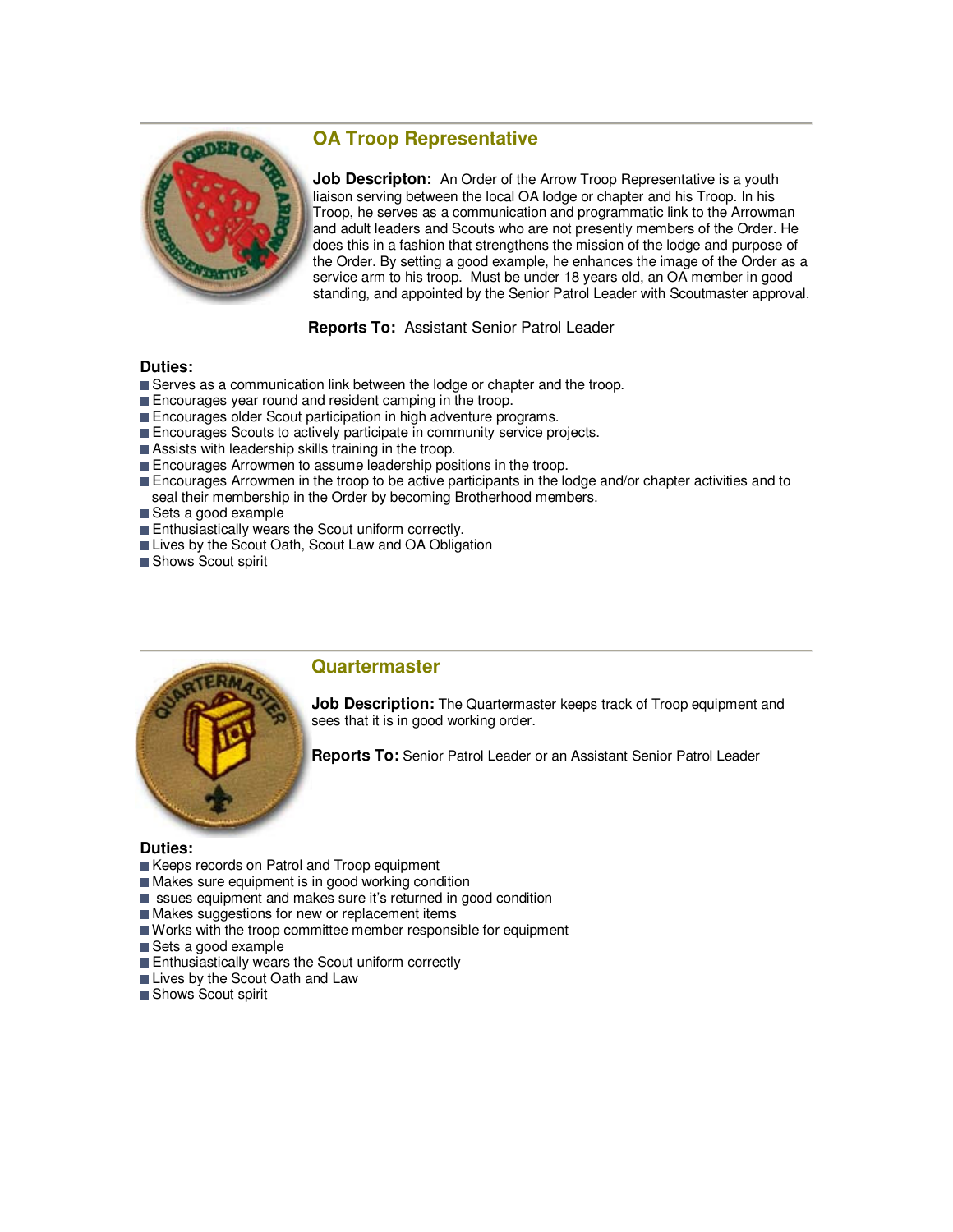# **OA Troop Representative**



**Job Descripton:** An Order of the Arrow Troop Representative is a youth liaison serving between the local OA lodge or chapter and his Troop. In his Troop, he serves as a communication and programmatic link to the Arrowman and adult leaders and Scouts who are not presently members of the Order. He does this in a fashion that strengthens the mission of the lodge and purpose of the Order. By setting a good example, he enhances the image of the Order as a service arm to his troop. Must be under 18 years old, an OA member in good standing, and appointed by the Senior Patrol Leader with Scoutmaster approval.

**Reports To:** Assistant Senior Patrol Leader

### **Duties:**

- Serves as a communication link between the lodge or chapter and the troop.
- Encourages year round and resident camping in the troop.
- Encourages older Scout participation in high adventure programs.
- Encourages Scouts to actively participate in community service projects.
- Assists with leadership skills training in the troop.
- **Encourages Arrowmen to assume leadership positions in the troop.**
- **Encourages Arrowmen in the troop to be active participants in the lodge and/or chapter activities and to** seal their membership in the Order by becoming Brotherhood members.
- Sets a good example
- **Enthusiastically wears the Scout uniform correctly.**
- Lives by the Scout Oath, Scout Law and OA Obligation
- Shows Scout spirit



### **Quartermaster**

**Job Description:** The Quartermaster keeps track of Troop equipment and sees that it is in good working order.

**Reports To:** Senior Patrol Leader or an Assistant Senior Patrol Leader

### **Duties:**

- Keeps records on Patrol and Troop equipment
- Makes sure equipment is in good working condition
- ssues equipment and makes sure it's returned in good condition
- Makes suggestions for new or replacement items
- Works with the troop committee member responsible for equipment
- Sets a good example
- **Enthusiastically wears the Scout uniform correctly**
- Lives by the Scout Oath and Law
- Shows Scout spirit